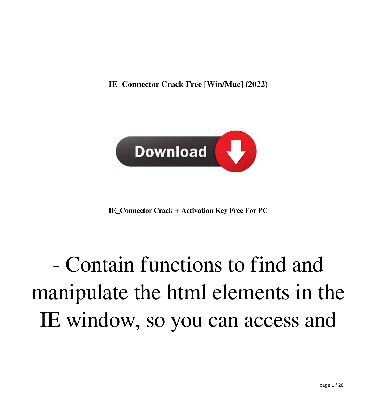**IE\_Connector Crack Free [Win/Mac] (2022)**



**IE\_Connector Crack + Activation Key Free For PC**

## - Contain functions to find and manipulate the html elements in the IE window, so you can access and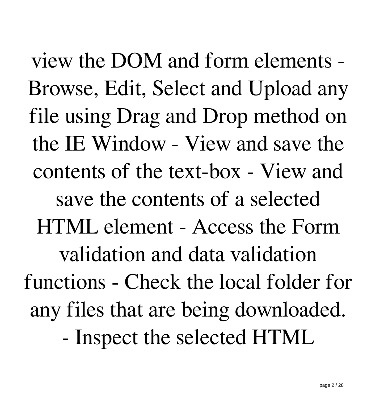view the DOM and form elements - Browse, Edit, Select and Upload any file using Drag and Drop method on the IE Window - View and save the contents of the text-box - View and save the contents of a selected HTML element - Access the Form validation and data validation functions - Check the local folder for any files that are being downloaded. - Inspect the selected HTML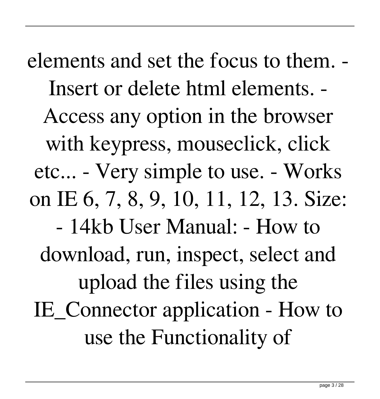elements and set the focus to them. - Insert or delete html elements. - Access any option in the browser with keypress, mouseclick, click etc... - Very simple to use. - Works on IE 6, 7, 8, 9, 10, 11, 12, 13. Size: - 14kb User Manual: - How to download, run, inspect, select and upload the files using the IE\_Connector application - How to use the Functionality of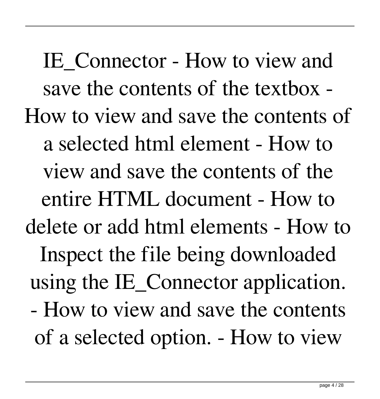IE\_Connector - How to view and save the contents of the textbox - How to view and save the contents of a selected html element - How to view and save the contents of the entire HTML document - How to delete or add html elements - How to Inspect the file being downloaded using the IE\_Connector application. - How to view and save the contents of a selected option. - How to view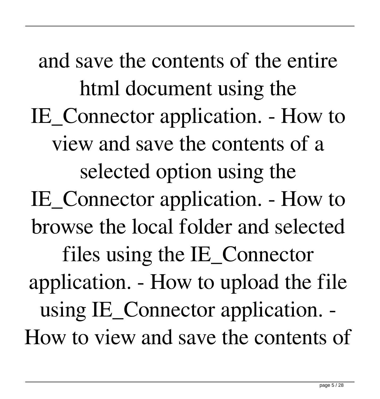and save the contents of the entire html document using the IE\_Connector application. - How to view and save the contents of a selected option using the IE\_Connector application. - How to browse the local folder and selected files using the IE\_Connector application. - How to upload the file using IE\_Connector application. - How to view and save the contents of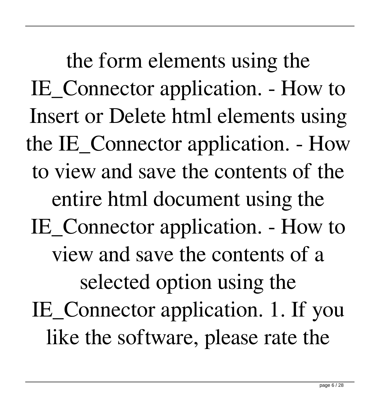the form elements using the IE\_Connector application. - How to Insert or Delete html elements using the IE\_Connector application. - How to view and save the contents of the entire html document using the IE\_Connector application. - How to view and save the contents of a selected option using the IE\_Connector application. 1. If you like the software, please rate the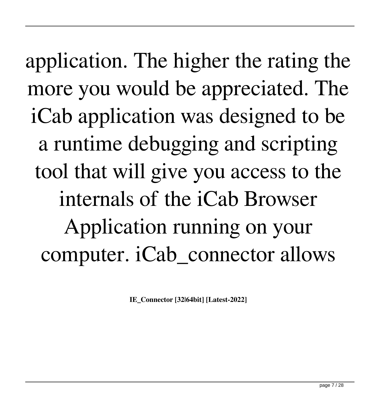application. The higher the rating the more you would be appreciated. The iCab application was designed to be a runtime debugging and scripting tool that will give you access to the internals of the iCab Browser Application running on your computer. iCab\_connector allows

**IE\_Connector [32|64bit] [Latest-2022]**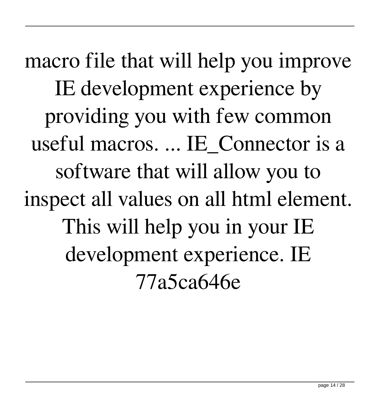macro file that will help you improve IE development experience by providing you with few common useful macros. ... IE\_Connector is a software that will allow you to inspect all values on all html element. This will help you in your IE development experience. IE 77a5ca646e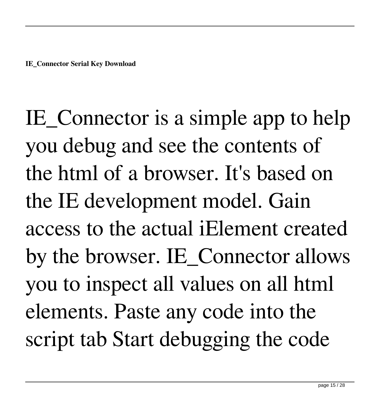IE\_Connector is a simple app to help you debug and see the contents of the html of a browser. It's based on the IE development model. Gain access to the actual iElement created by the browser. IE\_Connector allows you to inspect all values on all html elements. Paste any code into the script tab Start debugging the code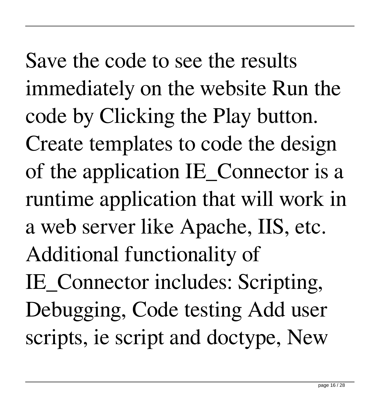Save the code to see the results immediately on the website Run the code by Clicking the Play button. Create templates to code the design of the application IE Connector is a runtime application that will work in a web server like Apache, IIS, etc. Additional functionality of IE\_Connector includes: Scripting, Debugging, Code testing Add user scripts, ie script and doctype, New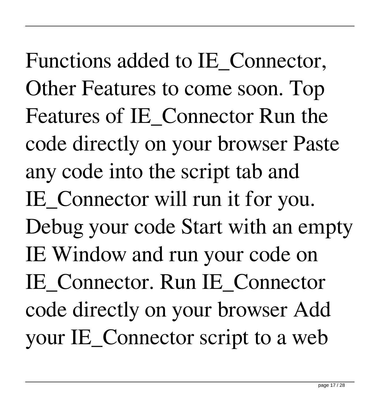Functions added to IE\_Connector, Other Features to come soon. Top Features of IE\_Connector Run the code directly on your browser Paste any code into the script tab and IE Connector will run it for you. Debug your code Start with an empty IE Window and run your code on IE\_Connector. Run IE\_Connector code directly on your browser Add your IE\_Connector script to a web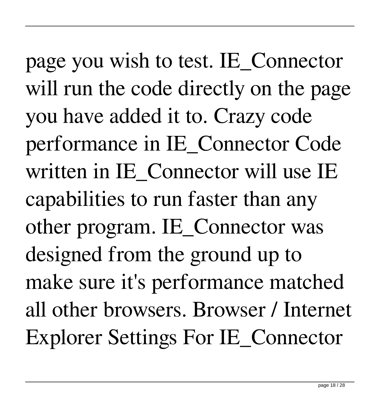page you wish to test. IE\_Connector will run the code directly on the page you have added it to. Crazy code performance in IE\_Connector Code written in IE\_Connector will use IE capabilities to run faster than any other program. IE\_Connector was designed from the ground up to make sure it's performance matched all other browsers. Browser / Internet Explorer Settings For IE\_Connector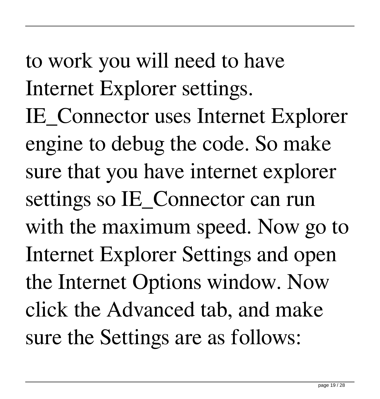to work you will need to have Internet Explorer settings. IE\_Connector uses Internet Explorer engine to debug the code. So make sure that you have internet explorer settings so IE\_Connector can run with the maximum speed. Now go to Internet Explorer Settings and open the Internet Options window. Now click the Advanced tab, and make sure the Settings are as follows: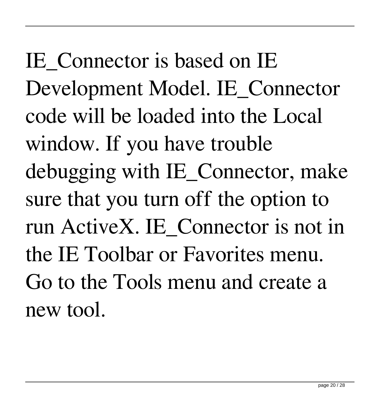IE Connector is based on IE Development Model. IE\_Connector code will be loaded into the Local window. If you have trouble debugging with IE\_Connector, make sure that you turn off the option to run ActiveX. IE\_Connector is not in the IE Toolbar or Favorites menu. Go to the Tools menu and create a new tool.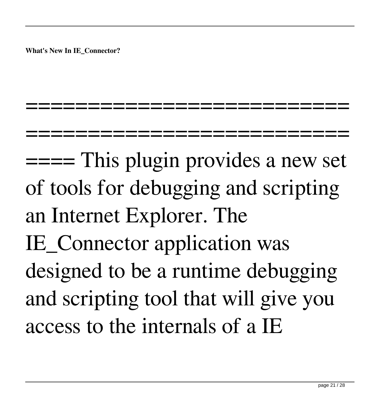**What's New In IE\_Connector?**

====== This plugin provides a new set of tools for debugging and scripting an Internet Explorer. The IE\_Connector application was designed to be a runtime debugging and scripting tool that will give you access to the internals of a IE

=================================

==========================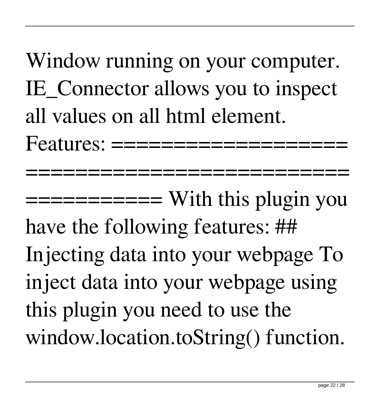Window running on your computer. IE Connector allows you to inspect all values on all html element.  $Features: = = = = = = = = = = =$ 

==================================

=========== With this plugin you have the following features: ## Injecting data into your webpage To inject data into your webpage using this plugin you need to use the window.location.toString() function.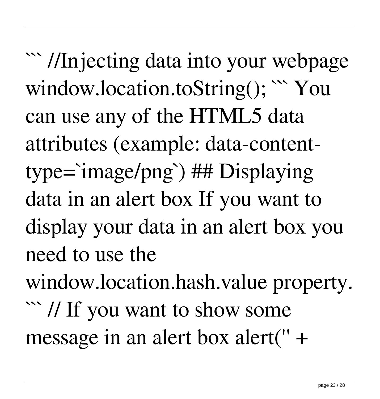``` //Injecting data into your webpage window.location.toString(); ``` You can use any of the HTML5 data attributes (example: data-contenttype=`image/png`) ## Displaying data in an alert box If you want to display your data in an alert box you need to use the window.location.hash.value property.

``` // If you want to show some message in an alert box alert('' +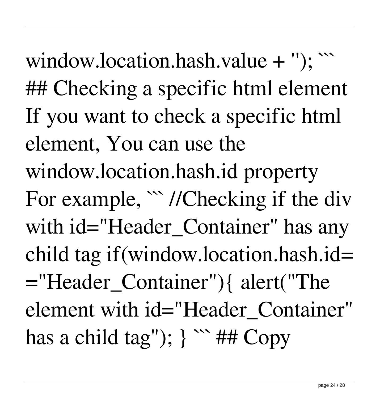window.location.hash.value  $+$  "); ``` ## Checking a specific html element If you want to check a specific html element, You can use the window.location.hash.id property For example,  $\lq{\prime}$  //Checking if the div with id="Header Container" has any child tag if(window.location.hash.id= ="Header\_Container"){ alert("The element with id="Header\_Container" has a child tag");  $\}$  \*\*\* ## Copy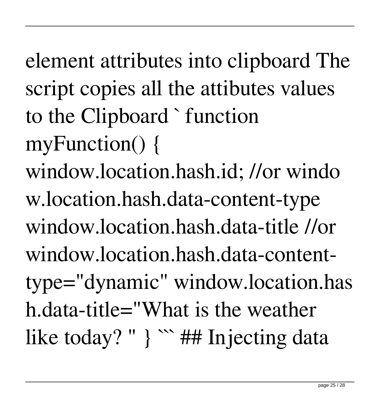element attributes into clipboard The script copies all the attibutes values to the Clipboard ` function myFunction() { window.location.hash.id; //or windo w.location.hash.data-content-type window.location.hash.data-title //or window.location.hash.data-content-

type="dynamic" window.location.has h.data-title="What is the weather like today? " } ``` ## Injecting data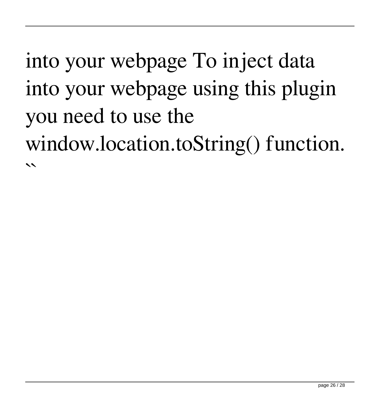## into your webpage To inject data into your webpage using this plugin you need to use the window.location.toString() function.  $\overline{\phantom{a}}$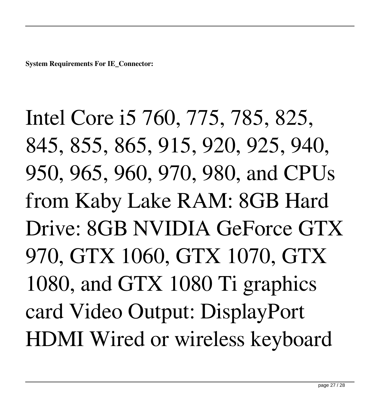**System Requirements For IE\_Connector:**

Intel Core i5 760, 775, 785, 825, 845, 855, 865, 915, 920, 925, 940, 950, 965, 960, 970, 980, and CPUs from Kaby Lake RAM: 8GB Hard Drive: 8GB NVIDIA GeForce GTX 970, GTX 1060, GTX 1070, GTX 1080, and GTX 1080 Ti graphics card Video Output: DisplayPort HDMI Wired or wireless keyboard